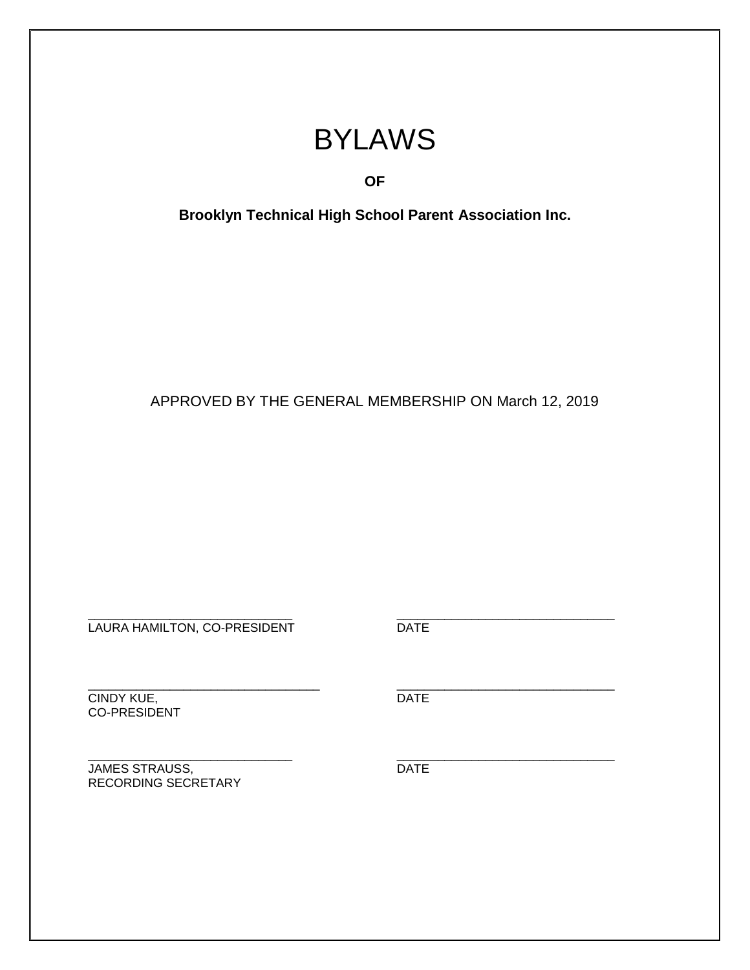# BYLAWS

# **OF**

**Brooklyn Technical High School Parent Association Inc.**

APPROVED BY THE GENERAL MEMBERSHIP ON March 12, 2019

\_\_\_\_\_\_\_\_\_\_\_\_\_\_\_\_\_\_\_\_\_\_\_\_\_\_\_\_\_\_ \_\_\_\_\_\_\_\_\_\_\_\_\_\_\_\_\_\_\_\_\_\_\_\_\_\_\_\_\_\_\_\_ LAURA HAMILTON, CO-PRESIDENT DATE

\_\_\_\_\_\_\_\_\_\_\_\_\_\_\_\_\_\_\_\_\_\_\_\_\_\_\_\_\_\_\_\_\_\_ \_\_\_\_\_\_\_\_\_\_\_\_\_\_\_\_\_\_\_\_\_\_\_\_\_\_\_\_\_\_\_\_ CINDY KUE, the contract of the contract of the contract of the contract of the contract of the contract of the CO-PRESIDENT

**JAMES STRAUSS, DATE** RECORDING SECRETARY

\_\_\_\_\_\_\_\_\_\_\_\_\_\_\_\_\_\_\_\_\_\_\_\_\_\_\_\_\_\_ \_\_\_\_\_\_\_\_\_\_\_\_\_\_\_\_\_\_\_\_\_\_\_\_\_\_\_\_\_\_\_\_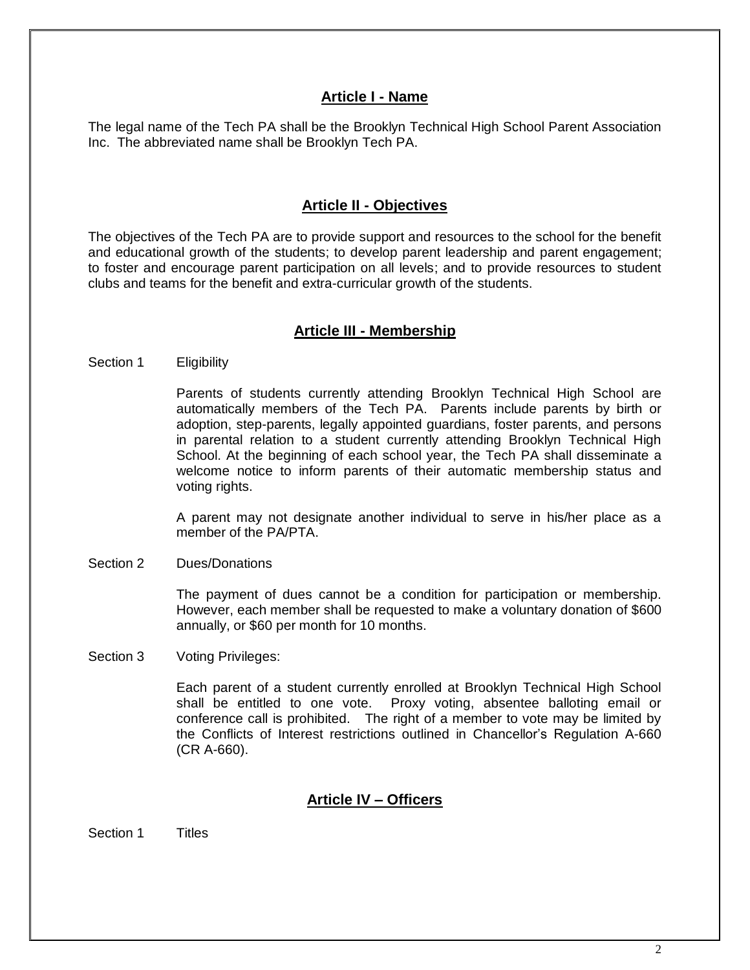## **Article I - Name**

The legal name of the Tech PA shall be the Brooklyn Technical High School Parent Association Inc. The abbreviated name shall be Brooklyn Tech PA.

## **Article II - Objectives**

The objectives of the Tech PA are to provide support and resources to the school for the benefit and educational growth of the students; to develop parent leadership and parent engagement; to foster and encourage parent participation on all levels; and to provide resources to student clubs and teams for the benefit and extra-curricular growth of the students.

## **Article III - Membership**

## Section 1 Eligibility

Parents of students currently attending Brooklyn Technical High School are automatically members of the Tech PA.Parents include parents by birth or adoption, step-parents, legally appointed guardians, foster parents, and persons in parental relation to a student currently attending Brooklyn Technical High School. At the beginning of each school year, the Tech PA shall disseminate a welcome notice to inform parents of their automatic membership status and voting rights.

A parent may not designate another individual to serve in his/her place as a member of the PA/PTA.

Section 2 Dues/Donations

The payment of dues cannot be a condition for participation or membership. However, each member shall be requested to make a voluntary donation of \$600 annually, or \$60 per month for 10 months.

Section 3 Voting Privileges:

Each parent of a student currently enrolled at Brooklyn Technical High School shall be entitled to one vote. Proxy voting, absentee balloting email or conference call is prohibited. The right of a member to vote may be limited by the Conflicts of Interest restrictions outlined in Chancellor's Regulation A-660 (CR A-660).

## **Article IV – Officers**

Section 1 Titles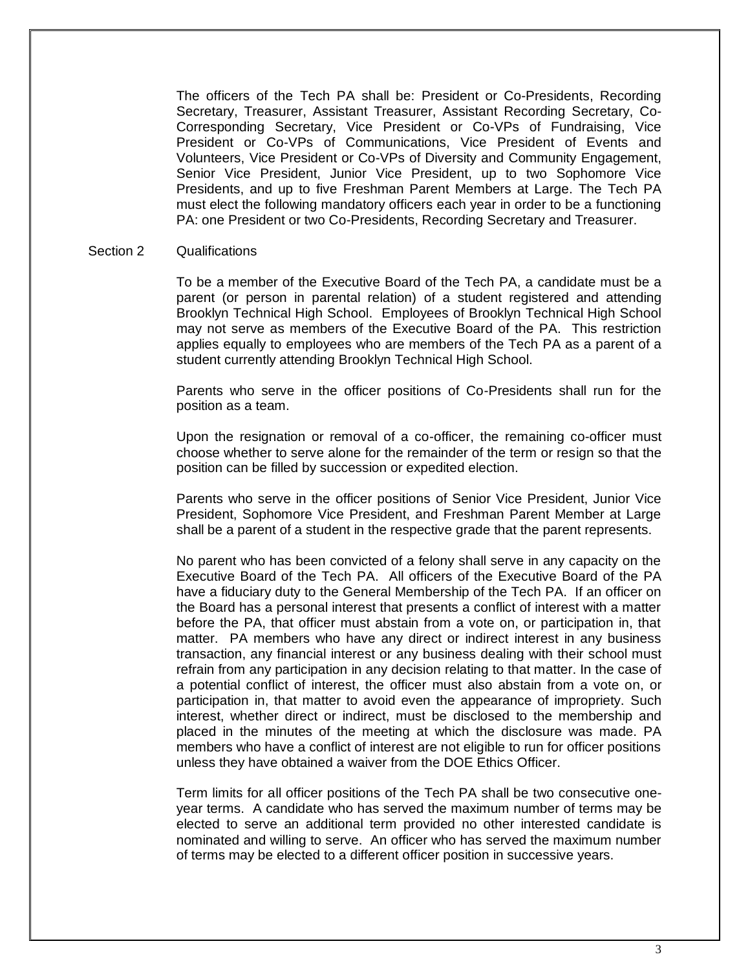The officers of the Tech PA shall be: President or Co-Presidents, Recording Secretary, Treasurer, Assistant Treasurer, Assistant Recording Secretary, Co-Corresponding Secretary, Vice President or Co-VPs of Fundraising, Vice President or Co-VPs of Communications, Vice President of Events and Volunteers, Vice President or Co-VPs of Diversity and Community Engagement, Senior Vice President, Junior Vice President, up to two Sophomore Vice Presidents, and up to five Freshman Parent Members at Large. The Tech PA must elect the following mandatory officers each year in order to be a functioning PA: one President or two Co-Presidents, Recording Secretary and Treasurer.

#### Section 2 Qualifications

To be a member of the Executive Board of the Tech PA, a candidate must be a parent (or person in parental relation) of a student registered and attending Brooklyn Technical High School. Employees of Brooklyn Technical High School may not serve as members of the Executive Board of the PA. This restriction applies equally to employees who are members of the Tech PA as a parent of a student currently attending Brooklyn Technical High School.

Parents who serve in the officer positions of Co-Presidents shall run for the position as a team.

Upon the resignation or removal of a co-officer, the remaining co-officer must choose whether to serve alone for the remainder of the term or resign so that the position can be filled by succession or expedited election.

Parents who serve in the officer positions of Senior Vice President, Junior Vice President, Sophomore Vice President, and Freshman Parent Member at Large shall be a parent of a student in the respective grade that the parent represents.

No parent who has been convicted of a felony shall serve in any capacity on the Executive Board of the Tech PA. All officers of the Executive Board of the PA have a fiduciary duty to the General Membership of the Tech PA. If an officer on the Board has a personal interest that presents a conflict of interest with a matter before the PA, that officer must abstain from a vote on, or participation in, that matter. PA members who have any direct or indirect interest in any business transaction, any financial interest or any business dealing with their school must refrain from any participation in any decision relating to that matter. In the case of a potential conflict of interest, the officer must also abstain from a vote on, or participation in, that matter to avoid even the appearance of impropriety. Such interest, whether direct or indirect, must be disclosed to the membership and placed in the minutes of the meeting at which the disclosure was made. PA members who have a conflict of interest are not eligible to run for officer positions unless they have obtained a waiver from the DOE Ethics Officer.

Term limits for all officer positions of the Tech PA shall be two consecutive oneyear terms. A candidate who has served the maximum number of terms may be elected to serve an additional term provided no other interested candidate is nominated and willing to serve. An officer who has served the maximum number of terms may be elected to a different officer position in successive years.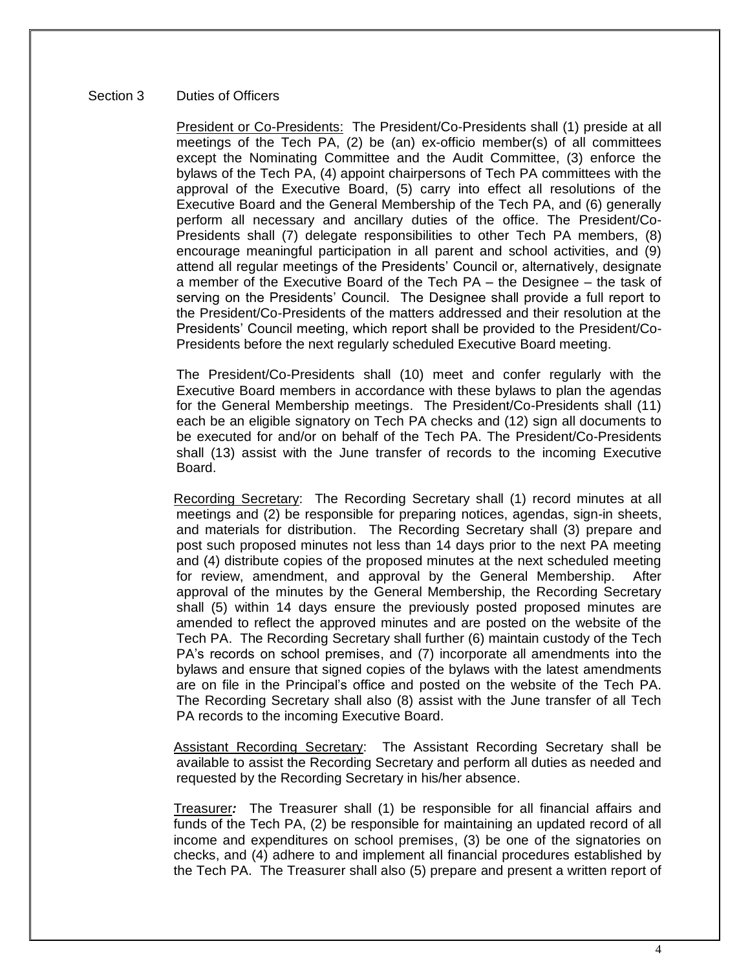## Section 3 Duties of Officers

President or Co-Presidents: The President/Co-Presidents shall (1) preside at all meetings of the Tech PA, (2) be (an) ex-officio member(s) of all committees except the Nominating Committee and the Audit Committee, (3) enforce the bylaws of the Tech PA, (4) appoint chairpersons of Tech PA committees with the approval of the Executive Board, (5) carry into effect all resolutions of the Executive Board and the General Membership of the Tech PA, and (6) generally perform all necessary and ancillary duties of the office. The President/Co-Presidents shall (7) delegate responsibilities to other Tech PA members, (8) encourage meaningful participation in all parent and school activities, and (9) attend all regular meetings of the Presidents' Council or, alternatively, designate a member of the Executive Board of the Tech PA – the Designee – the task of serving on the Presidents' Council. The Designee shall provide a full report to the President/Co-Presidents of the matters addressed and their resolution at the Presidents' Council meeting, which report shall be provided to the President/Co-Presidents before the next regularly scheduled Executive Board meeting.

The President/Co-Presidents shall (10) meet and confer regularly with the Executive Board members in accordance with these bylaws to plan the agendas for the General Membership meetings. The President/Co-Presidents shall (11) each be an eligible signatory on Tech PA checks and (12) sign all documents to be executed for and/or on behalf of the Tech PA. The President/Co-Presidents shall (13) assist with the June transfer of records to the incoming Executive Board.

Recording Secretary: The Recording Secretary shall (1) record minutes at all meetings and (2) be responsible for preparing notices, agendas, sign-in sheets, and materials for distribution. The Recording Secretary shall (3) prepare and post such proposed minutes not less than 14 days prior to the next PA meeting and (4) distribute copies of the proposed minutes at the next scheduled meeting for review, amendment, and approval by the General Membership. After approval of the minutes by the General Membership, the Recording Secretary shall (5) within 14 days ensure the previously posted proposed minutes are amended to reflect the approved minutes and are posted on the website of the Tech PA. The Recording Secretary shall further (6) maintain custody of the Tech PA's records on school premises, and (7) incorporate all amendments into the bylaws and ensure that signed copies of the bylaws with the latest amendments are on file in the Principal's office and posted on the website of the Tech PA. The Recording Secretary shall also (8) assist with the June transfer of all Tech PA records to the incoming Executive Board.

Assistant Recording Secretary: The Assistant Recording Secretary shall be available to assist the Recording Secretary and perform all duties as needed and requested by the Recording Secretary in his/her absence.

Treasurer*:* The Treasurer shall (1) be responsible for all financial affairs and funds of the Tech PA, (2) be responsible for maintaining an updated record of all income and expenditures on school premises, (3) be one of the signatories on checks, and (4) adhere to and implement all financial procedures established by the Tech PA. The Treasurer shall also (5) prepare and present a written report of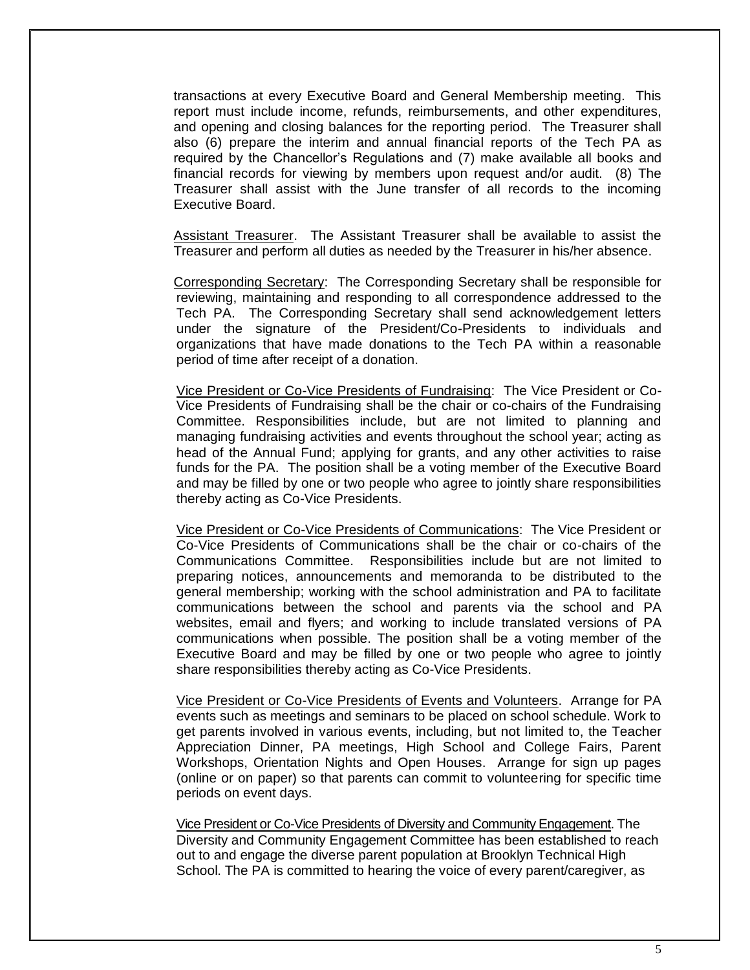transactions at every Executive Board and General Membership meeting. This report must include income, refunds, reimbursements, and other expenditures, and opening and closing balances for the reporting period. The Treasurer shall also (6) prepare the interim and annual financial reports of the Tech PA as required by the Chancellor's Regulations and (7) make available all books and financial records for viewing by members upon request and/or audit. (8) The Treasurer shall assist with the June transfer of all records to the incoming Executive Board.

Assistant Treasurer. The Assistant Treasurer shall be available to assist the Treasurer and perform all duties as needed by the Treasurer in his/her absence.

Corresponding Secretary: The Corresponding Secretary shall be responsible for reviewing, maintaining and responding to all correspondence addressed to the Tech PA. The Corresponding Secretary shall send acknowledgement letters under the signature of the President/Co-Presidents to individuals and organizations that have made donations to the Tech PA within a reasonable period of time after receipt of a donation.

Vice President or Co-Vice Presidents of Fundraising: The Vice President or Co-Vice Presidents of Fundraising shall be the chair or co-chairs of the Fundraising Committee. Responsibilities include, but are not limited to planning and managing fundraising activities and events throughout the school year; acting as head of the Annual Fund; applying for grants, and any other activities to raise funds for the PA. The position shall be a voting member of the Executive Board and may be filled by one or two people who agree to jointly share responsibilities thereby acting as Co-Vice Presidents.

Vice President or Co-Vice Presidents of Communications: The Vice President or Co-Vice Presidents of Communications shall be the chair or co-chairs of the Communications Committee. Responsibilities include but are not limited to preparing notices, announcements and memoranda to be distributed to the general membership; working with the school administration and PA to facilitate communications between the school and parents via the school and PA websites, email and flyers; and working to include translated versions of PA communications when possible. The position shall be a voting member of the Executive Board and may be filled by one or two people who agree to jointly share responsibilities thereby acting as Co-Vice Presidents.

Vice President or Co-Vice Presidents of Events and Volunteers. Arrange for PA events such as meetings and seminars to be placed on school schedule. Work to get parents involved in various events, including, but not limited to, the Teacher Appreciation Dinner, PA meetings, High School and College Fairs, Parent Workshops, Orientation Nights and Open Houses. Arrange for sign up pages (online or on paper) so that parents can commit to volunteering for specific time periods on event days.

Vice President or Co-Vice Presidents of Diversity and Community Engagement. The Diversity and Community Engagement Committee has been established to reach out to and engage the diverse parent population at Brooklyn Technical High School. The PA is committed to hearing the voice of every parent/caregiver, as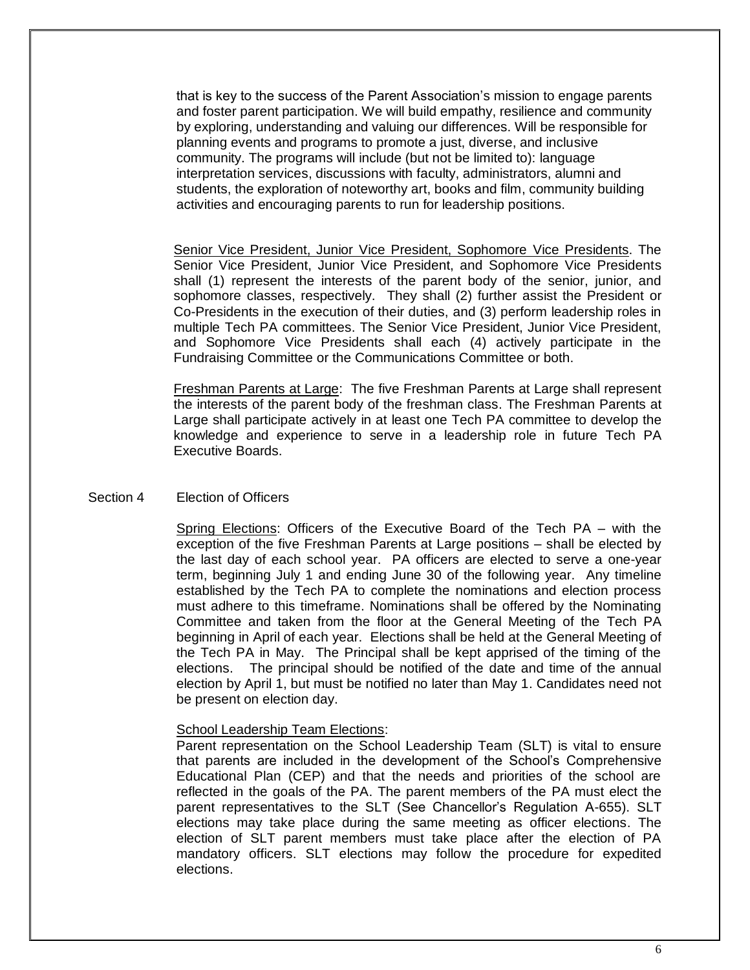that is key to the success of the Parent Association's mission to engage parents and foster parent participation. We will build empathy, resilience and community by exploring, understanding and valuing our differences. Will be responsible for planning events and programs to promote a just, diverse, and inclusive community. The programs will include (but not be limited to): language interpretation services, discussions with faculty, administrators, alumni and students, the exploration of noteworthy art, books and film, community building activities and encouraging parents to run for leadership positions.

Senior Vice President, Junior Vice President, Sophomore Vice Presidents. The Senior Vice President, Junior Vice President, and Sophomore Vice Presidents shall (1) represent the interests of the parent body of the senior, junior, and sophomore classes, respectively. They shall (2) further assist the President or Co-Presidents in the execution of their duties, and (3) perform leadership roles in multiple Tech PA committees. The Senior Vice President, Junior Vice President, and Sophomore Vice Presidents shall each (4) actively participate in the Fundraising Committee or the Communications Committee or both.

Freshman Parents at Large: The five Freshman Parents at Large shall represent the interests of the parent body of the freshman class. The Freshman Parents at Large shall participate actively in at least one Tech PA committee to develop the knowledge and experience to serve in a leadership role in future Tech PA Executive Boards.

## Section 4 Election of Officers

Spring Elections: Officers of the Executive Board of the Tech PA – with the exception of the five Freshman Parents at Large positions – shall be elected by the last day of each school year. PA officers are elected to serve a one-year term, beginning July 1 and ending June 30 of the following year. Any timeline established by the Tech PA to complete the nominations and election process must adhere to this timeframe. Nominations shall be offered by the Nominating Committee and taken from the floor at the General Meeting of the Tech PA beginning in April of each year. Elections shall be held at the General Meeting of the Tech PA in May. The Principal shall be kept apprised of the timing of the elections. The principal should be notified of the date and time of the annual election by April 1, but must be notified no later than May 1. Candidates need not be present on election day.

## School Leadership Team Elections:

Parent representation on the School Leadership Team (SLT) is vital to ensure that parents are included in the development of the School's Comprehensive Educational Plan (CEP) and that the needs and priorities of the school are reflected in the goals of the PA. The parent members of the PA must elect the parent representatives to the SLT (See Chancellor's Regulation A-655). SLT elections may take place during the same meeting as officer elections. The election of SLT parent members must take place after the election of PA mandatory officers. SLT elections may follow the procedure for expedited elections.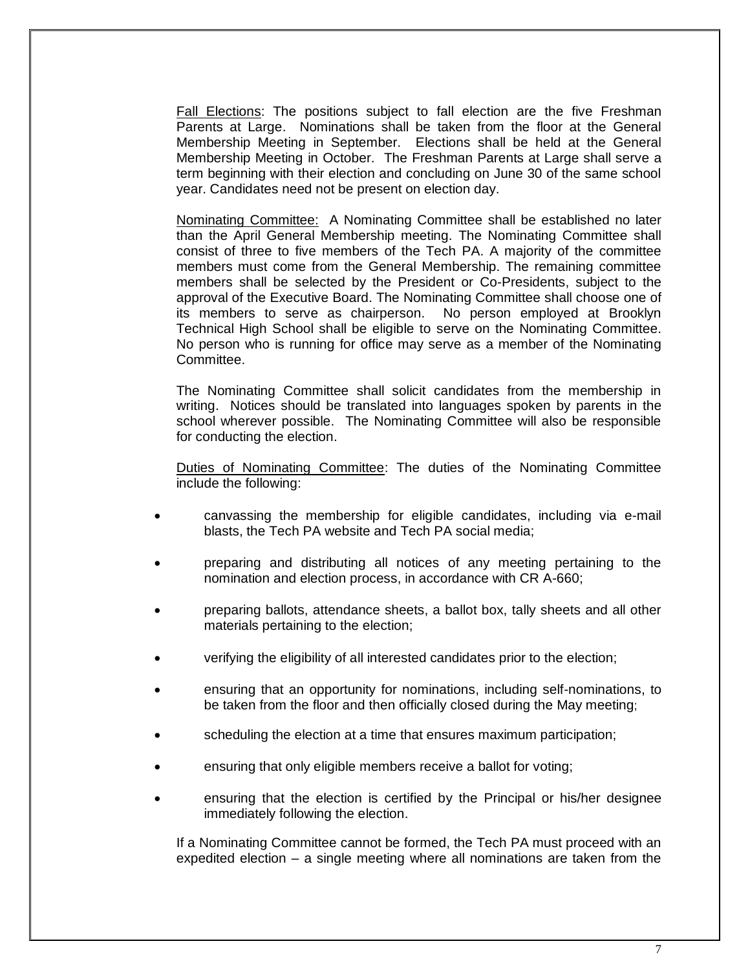Fall Elections: The positions subject to fall election are the five Freshman Parents at Large. Nominations shall be taken from the floor at the General Membership Meeting in September. Elections shall be held at the General Membership Meeting in October. The Freshman Parents at Large shall serve a term beginning with their election and concluding on June 30 of the same school year. Candidates need not be present on election day.

Nominating Committee: A Nominating Committee shall be established no later than the April General Membership meeting. The Nominating Committee shall consist of three to five members of the Tech PA. A majority of the committee members must come from the General Membership. The remaining committee members shall be selected by the President or Co-Presidents, subject to the approval of the Executive Board. The Nominating Committee shall choose one of its members to serve as chairperson. No person employed at Brooklyn Technical High School shall be eligible to serve on the Nominating Committee. No person who is running for office may serve as a member of the Nominating Committee.

The Nominating Committee shall solicit candidates from the membership in writing. Notices should be translated into languages spoken by parents in the school wherever possible. The Nominating Committee will also be responsible for conducting the election.

Duties of Nominating Committee: The duties of the Nominating Committee include the following:

- canvassing the membership for eligible candidates, including via e-mail blasts, the Tech PA website and Tech PA social media;
- preparing and distributing all notices of any meeting pertaining to the nomination and election process, in accordance with CR A-660;
- preparing ballots, attendance sheets, a ballot box, tally sheets and all other materials pertaining to the election;
- verifying the eligibility of all interested candidates prior to the election;
- ensuring that an opportunity for nominations, including self-nominations, to be taken from the floor and then officially closed during the May meeting;
- scheduling the election at a time that ensures maximum participation;
- ensuring that only eligible members receive a ballot for voting;
- ensuring that the election is certified by the Principal or his/her designee immediately following the election.

If a Nominating Committee cannot be formed, the Tech PA must proceed with an expedited election – a single meeting where all nominations are taken from the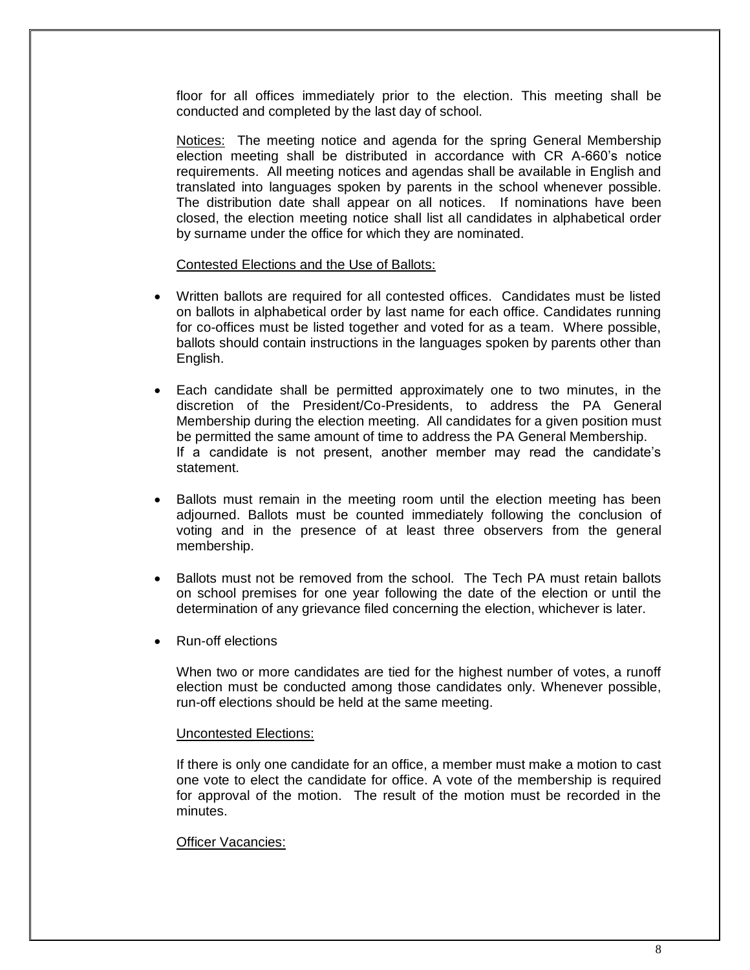floor for all offices immediately prior to the election. This meeting shall be conducted and completed by the last day of school.

Notices: The meeting notice and agenda for the spring General Membership election meeting shall be distributed in accordance with CR A-660's notice requirements. All meeting notices and agendas shall be available in English and translated into languages spoken by parents in the school whenever possible. The distribution date shall appear on all notices. If nominations have been closed, the election meeting notice shall list all candidates in alphabetical order by surname under the office for which they are nominated.

#### Contested Elections and the Use of Ballots:

- Written ballots are required for all contested offices. Candidates must be listed on ballots in alphabetical order by last name for each office. Candidates running for co-offices must be listed together and voted for as a team. Where possible, ballots should contain instructions in the languages spoken by parents other than English.
- Each candidate shall be permitted approximately one to two minutes, in the discretion of the President/Co-Presidents, to address the PA General Membership during the election meeting. All candidates for a given position must be permitted the same amount of time to address the PA General Membership. If a candidate is not present, another member may read the candidate's statement.
- Ballots must remain in the meeting room until the election meeting has been adjourned. Ballots must be counted immediately following the conclusion of voting and in the presence of at least three observers from the general membership.
- Ballots must not be removed from the school. The Tech PA must retain ballots on school premises for one year following the date of the election or until the determination of any grievance filed concerning the election, whichever is later.
- Run-off elections

When two or more candidates are tied for the highest number of votes, a runoff election must be conducted among those candidates only. Whenever possible, run-off elections should be held at the same meeting.

## Uncontested Elections:

If there is only one candidate for an office, a member must make a motion to cast one vote to elect the candidate for office. A vote of the membership is required for approval of the motion. The result of the motion must be recorded in the minutes.

## Officer Vacancies: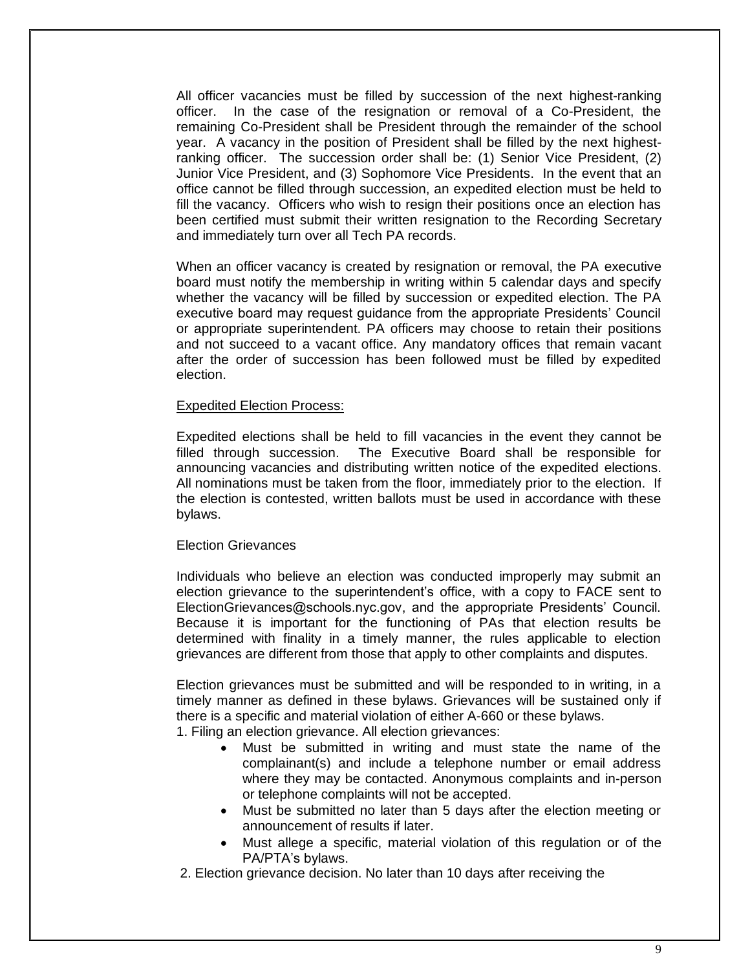All officer vacancies must be filled by succession of the next highest-ranking officer. In the case of the resignation or removal of a Co-President, the remaining Co-President shall be President through the remainder of the school year. A vacancy in the position of President shall be filled by the next highestranking officer. The succession order shall be: (1) Senior Vice President, (2) Junior Vice President, and (3) Sophomore Vice Presidents. In the event that an office cannot be filled through succession, an expedited election must be held to fill the vacancy. Officers who wish to resign their positions once an election has been certified must submit their written resignation to the Recording Secretary and immediately turn over all Tech PA records.

When an officer vacancy is created by resignation or removal, the PA executive board must notify the membership in writing within 5 calendar days and specify whether the vacancy will be filled by succession or expedited election. The PA executive board may request guidance from the appropriate Presidents' Council or appropriate superintendent. PA officers may choose to retain their positions and not succeed to a vacant office. Any mandatory offices that remain vacant after the order of succession has been followed must be filled by expedited election.

## Expedited Election Process:

Expedited elections shall be held to fill vacancies in the event they cannot be filled through succession. The Executive Board shall be responsible for announcing vacancies and distributing written notice of the expedited elections. All nominations must be taken from the floor, immediately prior to the election. If the election is contested, written ballots must be used in accordance with these bylaws.

## Election Grievances

Individuals who believe an election was conducted improperly may submit an election grievance to the superintendent's office, with a copy to FACE sent to ElectionGrievances@schools.nyc.gov, and the appropriate Presidents' Council. Because it is important for the functioning of PAs that election results be determined with finality in a timely manner, the rules applicable to election grievances are different from those that apply to other complaints and disputes.

Election grievances must be submitted and will be responded to in writing, in a timely manner as defined in these bylaws. Grievances will be sustained only if there is a specific and material violation of either A-660 or these bylaws.

1. Filing an election grievance. All election grievances:

- Must be submitted in writing and must state the name of the complainant(s) and include a telephone number or email address where they may be contacted. Anonymous complaints and in-person or telephone complaints will not be accepted.
- Must be submitted no later than 5 days after the election meeting or announcement of results if later.
- Must allege a specific, material violation of this regulation or of the PA/PTA's bylaws.
- 2. Election grievance decision. No later than 10 days after receiving the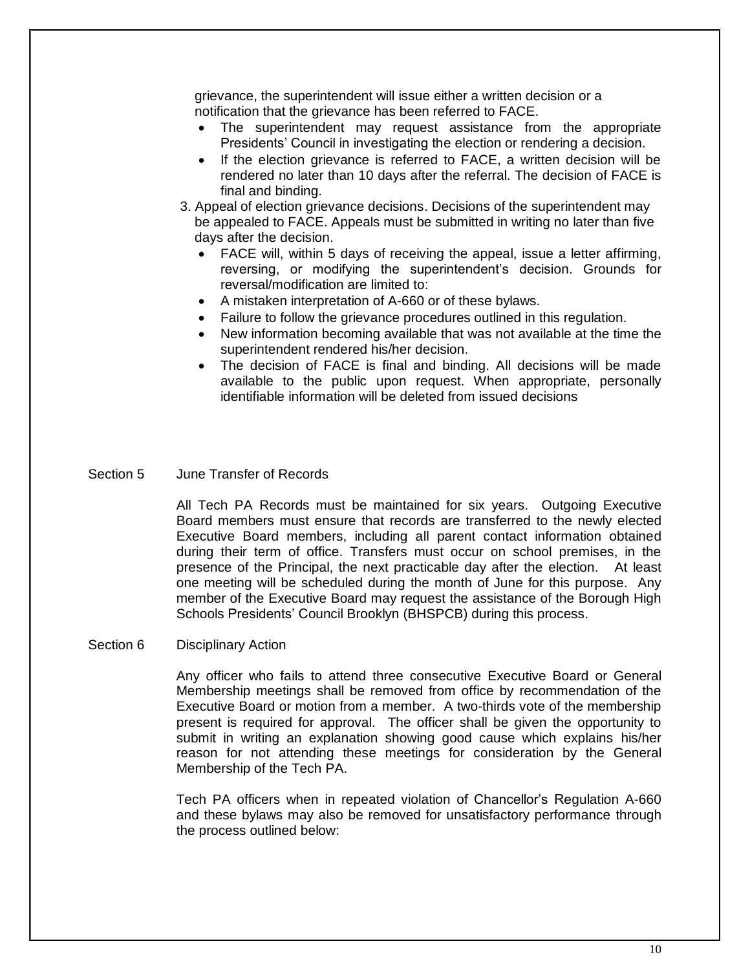grievance, the superintendent will issue either a written decision or a notification that the grievance has been referred to FACE.

- The superintendent may request assistance from the appropriate Presidents' Council in investigating the election or rendering a decision.
- If the election grievance is referred to FACE, a written decision will be rendered no later than 10 days after the referral. The decision of FACE is final and binding.
- 3. Appeal of election grievance decisions. Decisions of the superintendent may be appealed to FACE. Appeals must be submitted in writing no later than five days after the decision.
	- FACE will, within 5 days of receiving the appeal, issue a letter affirming, reversing, or modifying the superintendent's decision. Grounds for reversal/modification are limited to:
	- A mistaken interpretation of A-660 or of these bylaws.
	- Failure to follow the grievance procedures outlined in this regulation.
	- New information becoming available that was not available at the time the superintendent rendered his/her decision.
	- The decision of FACE is final and binding. All decisions will be made available to the public upon request. When appropriate, personally identifiable information will be deleted from issued decisions
- Section 5 June Transfer of Records

All Tech PA Records must be maintained for six years. Outgoing Executive Board members must ensure that records are transferred to the newly elected Executive Board members, including all parent contact information obtained during their term of office. Transfers must occur on school premises, in the presence of the Principal, the next practicable day after the election. At least one meeting will be scheduled during the month of June for this purpose. Any member of the Executive Board may request the assistance of the Borough High Schools Presidents' Council Brooklyn (BHSPCB) during this process.

Section 6 Disciplinary Action

Any officer who fails to attend three consecutive Executive Board or General Membership meetings shall be removed from office by recommendation of the Executive Board or motion from a member. A two-thirds vote of the membership present is required for approval. The officer shall be given the opportunity to submit in writing an explanation showing good cause which explains his/her reason for not attending these meetings for consideration by the General Membership of the Tech PA.

Tech PA officers when in repeated violation of Chancellor's Regulation A-660 and these bylaws may also be removed for unsatisfactory performance through the process outlined below: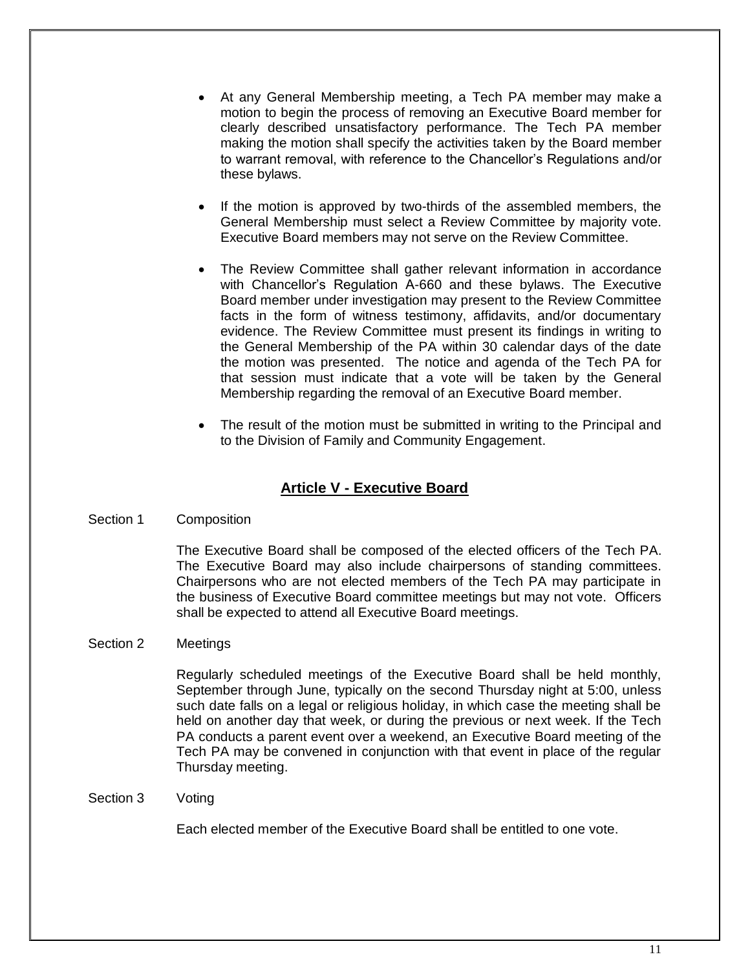- At any General Membership meeting, a Tech PA member may make a motion to begin the process of removing an Executive Board member for clearly described unsatisfactory performance. The Tech PA member making the motion shall specify the activities taken by the Board member to warrant removal, with reference to the Chancellor's Regulations and/or these bylaws.
- If the motion is approved by two-thirds of the assembled members, the General Membership must select a Review Committee by majority vote. Executive Board members may not serve on the Review Committee.
- The Review Committee shall gather relevant information in accordance with Chancellor's Regulation A-660 and these bylaws. The Executive Board member under investigation may present to the Review Committee facts in the form of witness testimony, affidavits, and/or documentary evidence. The Review Committee must present its findings in writing to the General Membership of the PA within 30 calendar days of the date the motion was presented. The notice and agenda of the Tech PA for that session must indicate that a vote will be taken by the General Membership regarding the removal of an Executive Board member.
- The result of the motion must be submitted in writing to the Principal and to the Division of Family and Community Engagement.

# **Article V - Executive Board**

Section 1 Composition

The Executive Board shall be composed of the elected officers of the Tech PA. The Executive Board may also include chairpersons of standing committees. Chairpersons who are not elected members of the Tech PA may participate in the business of Executive Board committee meetings but may not vote. Officers shall be expected to attend all Executive Board meetings.

## Section 2 Meetings

Regularly scheduled meetings of the Executive Board shall be held monthly, September through June, typically on the second Thursday night at 5:00, unless such date falls on a legal or religious holiday, in which case the meeting shall be held on another day that week, or during the previous or next week. If the Tech PA conducts a parent event over a weekend, an Executive Board meeting of the Tech PA may be convened in conjunction with that event in place of the regular Thursday meeting.

Section 3 Voting

Each elected member of the Executive Board shall be entitled to one vote.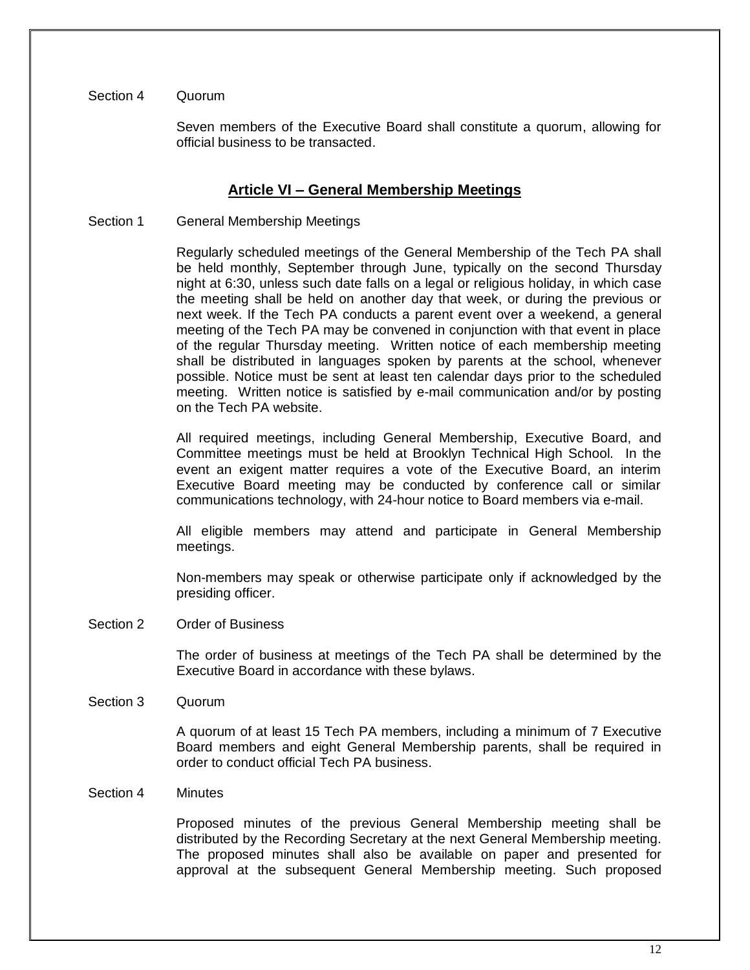## Section 4 Quorum

Seven members of the Executive Board shall constitute a quorum, allowing for official business to be transacted.

## **Article VI – General Membership Meetings**

Section 1 General Membership Meetings

Regularly scheduled meetings of the General Membership of the Tech PA shall be held monthly, September through June, typically on the second Thursday night at 6:30, unless such date falls on a legal or religious holiday, in which case the meeting shall be held on another day that week, or during the previous or next week. If the Tech PA conducts a parent event over a weekend, a general meeting of the Tech PA may be convened in conjunction with that event in place of the regular Thursday meeting. Written notice of each membership meeting shall be distributed in languages spoken by parents at the school, whenever possible. Notice must be sent at least ten calendar days prior to the scheduled meeting. Written notice is satisfied by e-mail communication and/or by posting on the Tech PA website.

All required meetings, including General Membership, Executive Board, and Committee meetings must be held at Brooklyn Technical High School. In the event an exigent matter requires a vote of the Executive Board, an interim Executive Board meeting may be conducted by conference call or similar communications technology, with 24-hour notice to Board members via e-mail.

All eligible members may attend and participate in General Membership meetings.

Non-members may speak or otherwise participate only if acknowledged by the presiding officer.

Section 2 Order of Business

The order of business at meetings of the Tech PA shall be determined by the Executive Board in accordance with these bylaws.

Section 3 Quorum

A quorum of at least 15 Tech PA members, including a minimum of 7 Executive Board members and eight General Membership parents, shall be required in order to conduct official Tech PA business.

## Section 4 Minutes

Proposed minutes of the previous General Membership meeting shall be distributed by the Recording Secretary at the next General Membership meeting. The proposed minutes shall also be available on paper and presented for approval at the subsequent General Membership meeting. Such proposed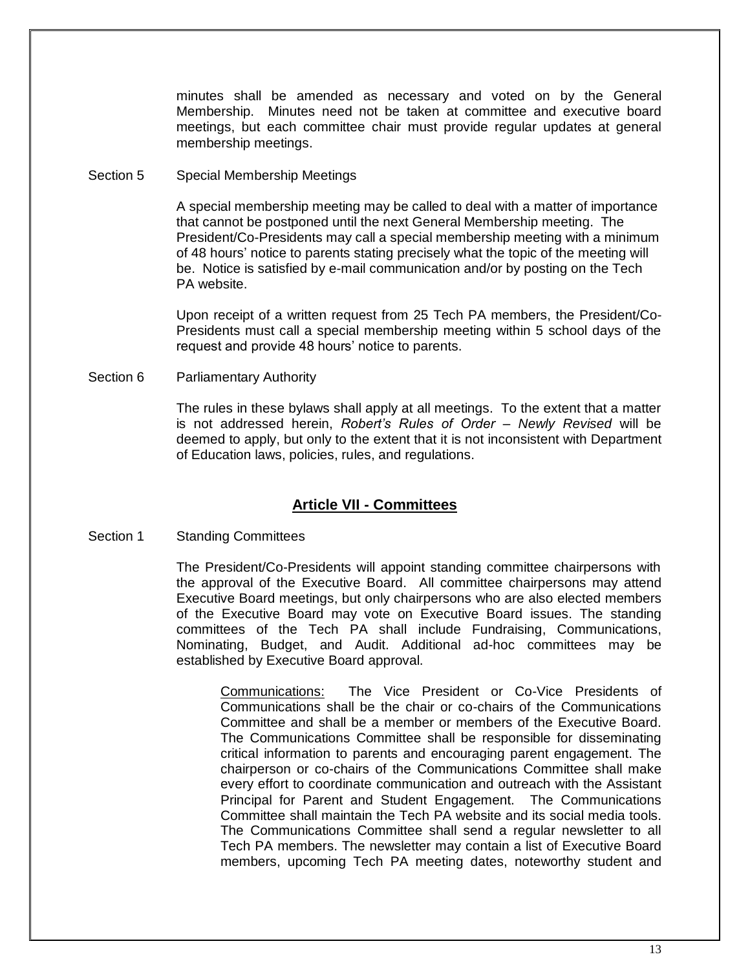minutes shall be amended as necessary and voted on by the General Membership. Minutes need not be taken at committee and executive board meetings, but each committee chair must provide regular updates at general membership meetings.

Section 5 Special Membership Meetings

A special membership meeting may be called to deal with a matter of importance that cannot be postponed until the next General Membership meeting. The President/Co-Presidents may call a special membership meeting with a minimum of 48 hours' notice to parents stating precisely what the topic of the meeting will be. Notice is satisfied by e-mail communication and/or by posting on the Tech PA website.

Upon receipt of a written request from 25 Tech PA members, the President/Co-Presidents must call a special membership meeting within 5 school days of the request and provide 48 hours' notice to parents.

Section 6 Parliamentary Authority

The rules in these bylaws shall apply at all meetings. To the extent that a matter is not addressed herein, *Robert's Rules of Order – Newly Revised* will be deemed to apply, but only to the extent that it is not inconsistent with Department of Education laws, policies, rules, and regulations.

# **Article VII - Committees**

Section 1 Standing Committees

The President/Co-Presidents will appoint standing committee chairpersons with the approval of the Executive Board. All committee chairpersons may attend Executive Board meetings, but only chairpersons who are also elected members of the Executive Board may vote on Executive Board issues. The standing committees of the Tech PA shall include Fundraising, Communications, Nominating, Budget, and Audit. Additional ad-hoc committees may be established by Executive Board approval.

Communications: The Vice President or Co-Vice Presidents of Communications shall be the chair or co-chairs of the Communications Committee and shall be a member or members of the Executive Board. The Communications Committee shall be responsible for disseminating critical information to parents and encouraging parent engagement. The chairperson or co-chairs of the Communications Committee shall make every effort to coordinate communication and outreach with the Assistant Principal for Parent and Student Engagement. The Communications Committee shall maintain the Tech PA website and its social media tools. The Communications Committee shall send a regular newsletter to all Tech PA members. The newsletter may contain a list of Executive Board members, upcoming Tech PA meeting dates, noteworthy student and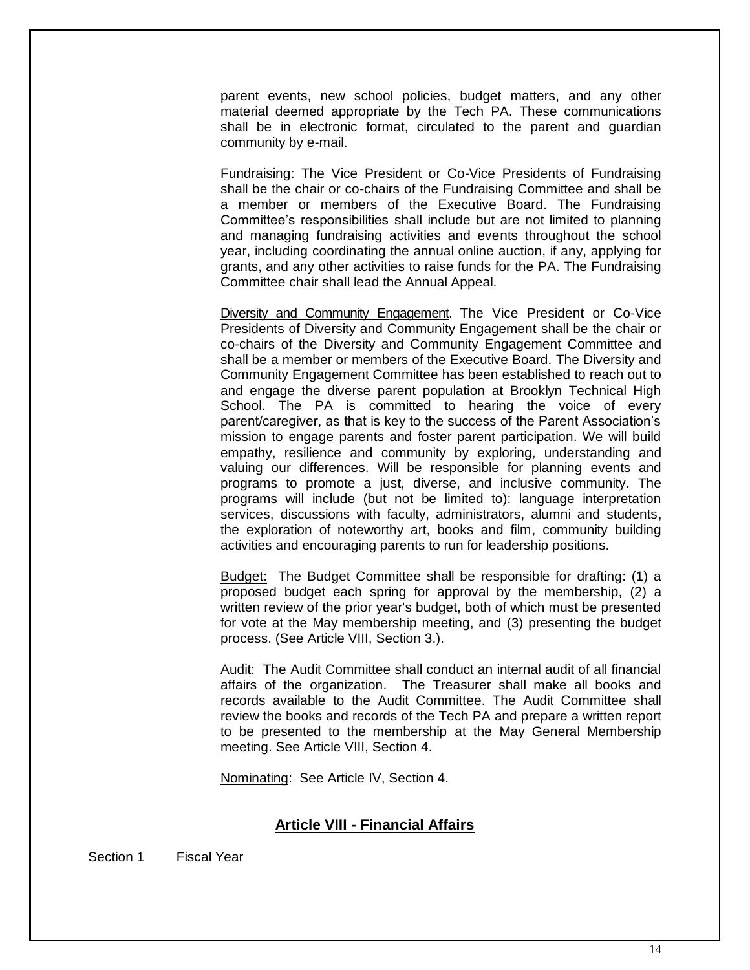parent events, new school policies, budget matters, and any other material deemed appropriate by the Tech PA. These communications shall be in electronic format, circulated to the parent and guardian community by e-mail.

Fundraising: The Vice President or Co-Vice Presidents of Fundraising shall be the chair or co-chairs of the Fundraising Committee and shall be a member or members of the Executive Board. The Fundraising Committee's responsibilities shall include but are not limited to planning and managing fundraising activities and events throughout the school year, including coordinating the annual online auction, if any, applying for grants, and any other activities to raise funds for the PA. The Fundraising Committee chair shall lead the Annual Appeal.

Diversity and Community Engagement. The Vice President or Co-Vice Presidents of Diversity and Community Engagement shall be the chair or co-chairs of the Diversity and Community Engagement Committee and shall be a member or members of the Executive Board. The Diversity and Community Engagement Committee has been established to reach out to and engage the diverse parent population at Brooklyn Technical High School. The PA is committed to hearing the voice of every parent/caregiver, as that is key to the success of the Parent Association's mission to engage parents and foster parent participation. We will build empathy, resilience and community by exploring, understanding and valuing our differences. Will be responsible for planning events and programs to promote a just, diverse, and inclusive community. The programs will include (but not be limited to): language interpretation services, discussions with faculty, administrators, alumni and students, the exploration of noteworthy art, books and film, community building activities and encouraging parents to run for leadership positions.

Budget: The Budget Committee shall be responsible for drafting: (1) a proposed budget each spring for approval by the membership, (2) a written review of the prior year's budget, both of which must be presented for vote at the May membership meeting, and (3) presenting the budget process. (See Article VIII, Section 3.).

Audit: The Audit Committee shall conduct an internal audit of all financial affairs of the organization. The Treasurer shall make all books and records available to the Audit Committee. The Audit Committee shall review the books and records of the Tech PA and prepare a written report to be presented to the membership at the May General Membership meeting. See Article VIII, Section 4.

Nominating: See Article IV, Section 4.

## **Article VIII - Financial Affairs**

Section 1 Fiscal Year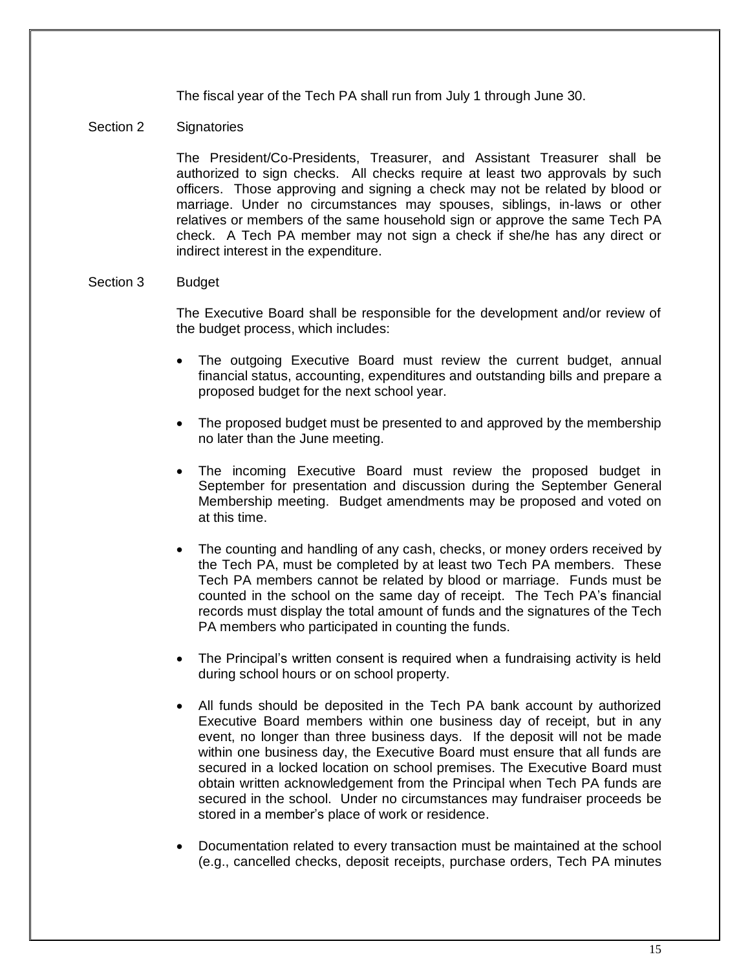The fiscal year of the Tech PA shall run from July 1 through June 30.

## Section 2 Signatories

The President/Co-Presidents, Treasurer, and Assistant Treasurer shall be authorized to sign checks. All checks require at least two approvals by such officers. Those approving and signing a check may not be related by blood or marriage. Under no circumstances may spouses, siblings, in-laws or other relatives or members of the same household sign or approve the same Tech PA check. A Tech PA member may not sign a check if she/he has any direct or indirect interest in the expenditure.

## Section 3 Budget

The Executive Board shall be responsible for the development and/or review of the budget process, which includes:

- The outgoing Executive Board must review the current budget, annual financial status, accounting, expenditures and outstanding bills and prepare a proposed budget for the next school year.
- The proposed budget must be presented to and approved by the membership no later than the June meeting.
- The incoming Executive Board must review the proposed budget in September for presentation and discussion during the September General Membership meeting. Budget amendments may be proposed and voted on at this time.
- The counting and handling of any cash, checks, or money orders received by the Tech PA, must be completed by at least two Tech PA members. These Tech PA members cannot be related by blood or marriage. Funds must be counted in the school on the same day of receipt. The Tech PA's financial records must display the total amount of funds and the signatures of the Tech PA members who participated in counting the funds.
- The Principal's written consent is required when a fundraising activity is held during school hours or on school property.
- All funds should be deposited in the Tech PA bank account by authorized Executive Board members within one business day of receipt, but in any event, no longer than three business days. If the deposit will not be made within one business day, the Executive Board must ensure that all funds are secured in a locked location on school premises. The Executive Board must obtain written acknowledgement from the Principal when Tech PA funds are secured in the school. Under no circumstances may fundraiser proceeds be stored in a member's place of work or residence.
- Documentation related to every transaction must be maintained at the school (e.g., cancelled checks, deposit receipts, purchase orders, Tech PA minutes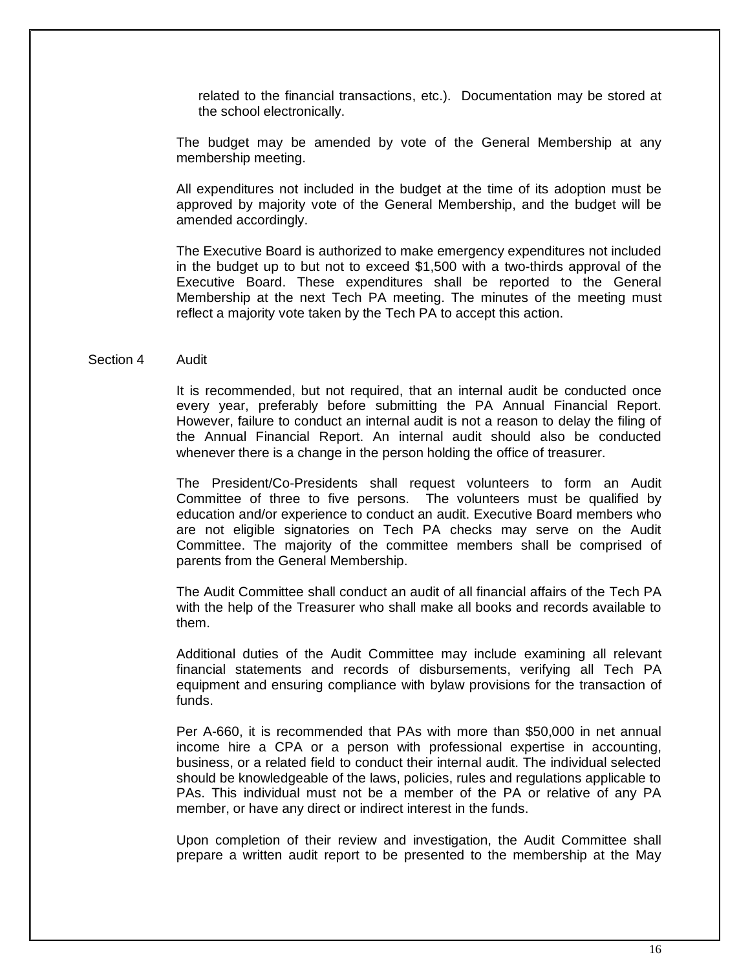related to the financial transactions, etc.). Documentation may be stored at the school electronically.

The budget may be amended by vote of the General Membership at any membership meeting.

All expenditures not included in the budget at the time of its adoption must be approved by majority vote of the General Membership, and the budget will be amended accordingly.

The Executive Board is authorized to make emergency expenditures not included in the budget up to but not to exceed \$1,500 with a two-thirds approval of the Executive Board. These expenditures shall be reported to the General Membership at the next Tech PA meeting. The minutes of the meeting must reflect a majority vote taken by the Tech PA to accept this action.

#### Section 4 Audit

It is recommended, but not required, that an internal audit be conducted once every year, preferably before submitting the PA Annual Financial Report. However, failure to conduct an internal audit is not a reason to delay the filing of the Annual Financial Report. An internal audit should also be conducted whenever there is a change in the person holding the office of treasurer.

The President/Co-Presidents shall request volunteers to form an Audit Committee of three to five persons. The volunteers must be qualified by education and/or experience to conduct an audit. Executive Board members who are not eligible signatories on Tech PA checks may serve on the Audit Committee. The majority of the committee members shall be comprised of parents from the General Membership.

The Audit Committee shall conduct an audit of all financial affairs of the Tech PA with the help of the Treasurer who shall make all books and records available to them.

Additional duties of the Audit Committee may include examining all relevant financial statements and records of disbursements, verifying all Tech PA equipment and ensuring compliance with bylaw provisions for the transaction of funds.

Per A-660, it is recommended that PAs with more than \$50,000 in net annual income hire a CPA or a person with professional expertise in accounting, business, or a related field to conduct their internal audit. The individual selected should be knowledgeable of the laws, policies, rules and regulations applicable to PAs. This individual must not be a member of the PA or relative of any PA member, or have any direct or indirect interest in the funds.

Upon completion of their review and investigation, the Audit Committee shall prepare a written audit report to be presented to the membership at the May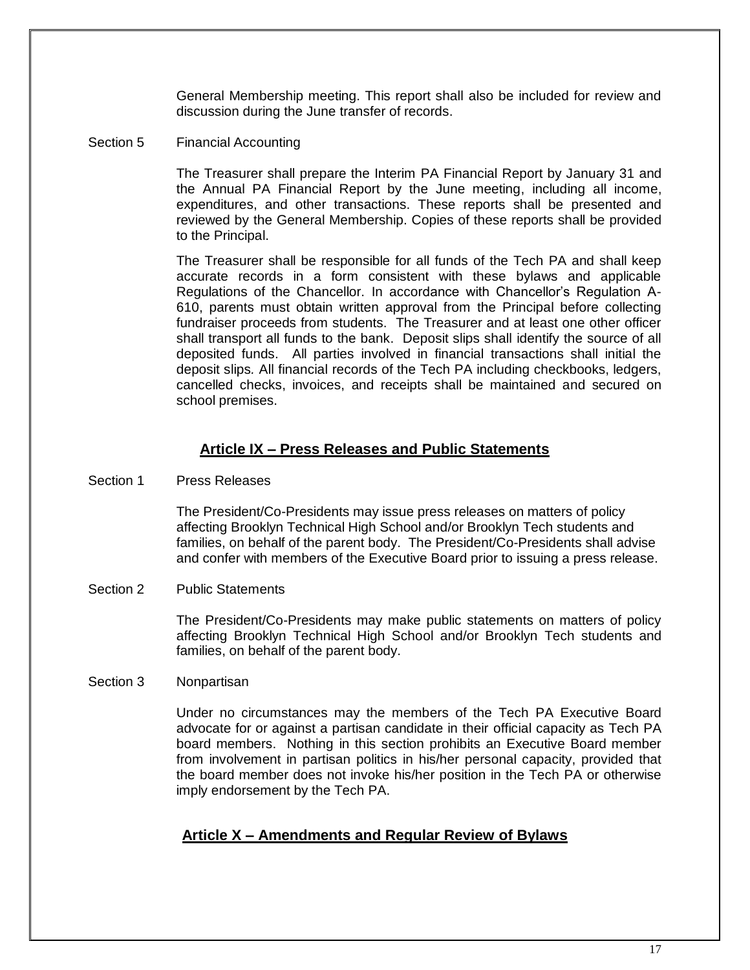General Membership meeting. This report shall also be included for review and discussion during the June transfer of records.

## Section 5 Financial Accounting

The Treasurer shall prepare the Interim PA Financial Report by January 31 and the Annual PA Financial Report by the June meeting, including all income, expenditures, and other transactions. These reports shall be presented and reviewed by the General Membership. Copies of these reports shall be provided to the Principal.

The Treasurer shall be responsible for all funds of the Tech PA and shall keep accurate records in a form consistent with these bylaws and applicable Regulations of the Chancellor. In accordance with Chancellor's Regulation A-610, parents must obtain written approval from the Principal before collecting fundraiser proceeds from students.The Treasurer and at least one other officer shall transport all funds to the bank. Deposit slips shall identify the source of all deposited funds. All parties involved in financial transactions shall initial the deposit slips*.* All financial records of the Tech PA including checkbooks, ledgers, cancelled checks, invoices, and receipts shall be maintained and secured on school premises.

## **Article IX – Press Releases and Public Statements**

Section 1 Press Releases

The President/Co-Presidents may issue press releases on matters of policy affecting Brooklyn Technical High School and/or Brooklyn Tech students and families, on behalf of the parent body. The President/Co-Presidents shall advise and confer with members of the Executive Board prior to issuing a press release.

Section 2 Public Statements

The President/Co-Presidents may make public statements on matters of policy affecting Brooklyn Technical High School and/or Brooklyn Tech students and families, on behalf of the parent body.

## Section 3 Nonpartisan

Under no circumstances may the members of the Tech PA Executive Board advocate for or against a partisan candidate in their official capacity as Tech PA board members. Nothing in this section prohibits an Executive Board member from involvement in partisan politics in his/her personal capacity, provided that the board member does not invoke his/her position in the Tech PA or otherwise imply endorsement by the Tech PA.

## **Article X – Amendments and Regular Review of Bylaws**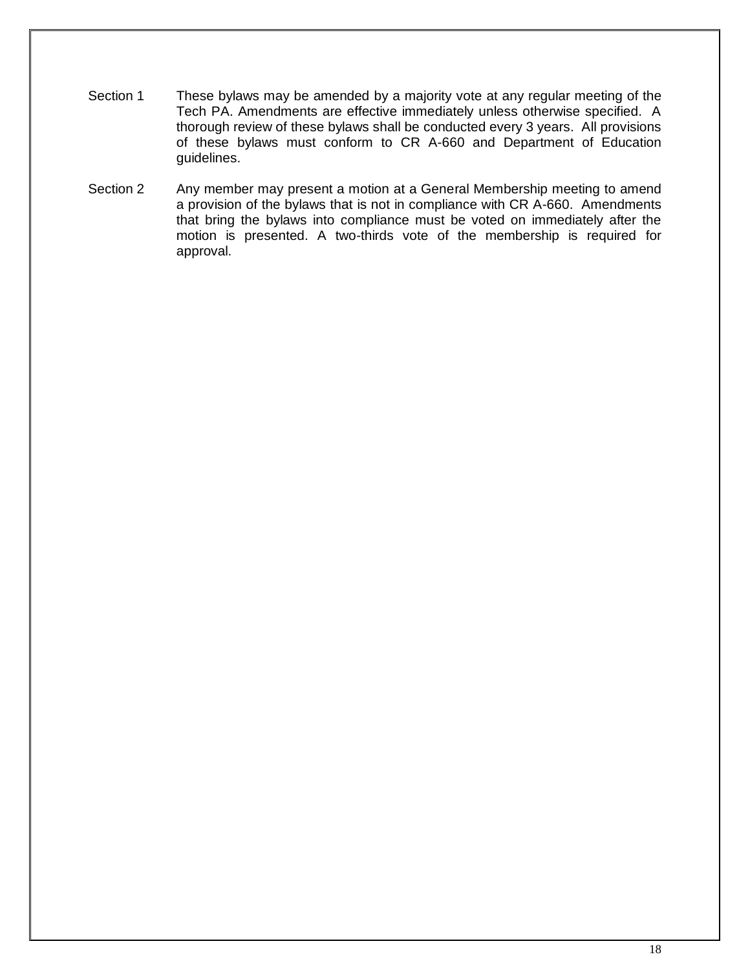- Section 1 These bylaws may be amended by a majority vote at any regular meeting of the Tech PA. Amendments are effective immediately unless otherwise specified. A thorough review of these bylaws shall be conducted every 3 years. All provisions of these bylaws must conform to CR A-660 and Department of Education guidelines.
- Section 2 Any member may present a motion at a General Membership meeting to amend a provision of the bylaws that is not in compliance with CR A-660. Amendments that bring the bylaws into compliance must be voted on immediately after the motion is presented. A two-thirds vote of the membership is required for approval.